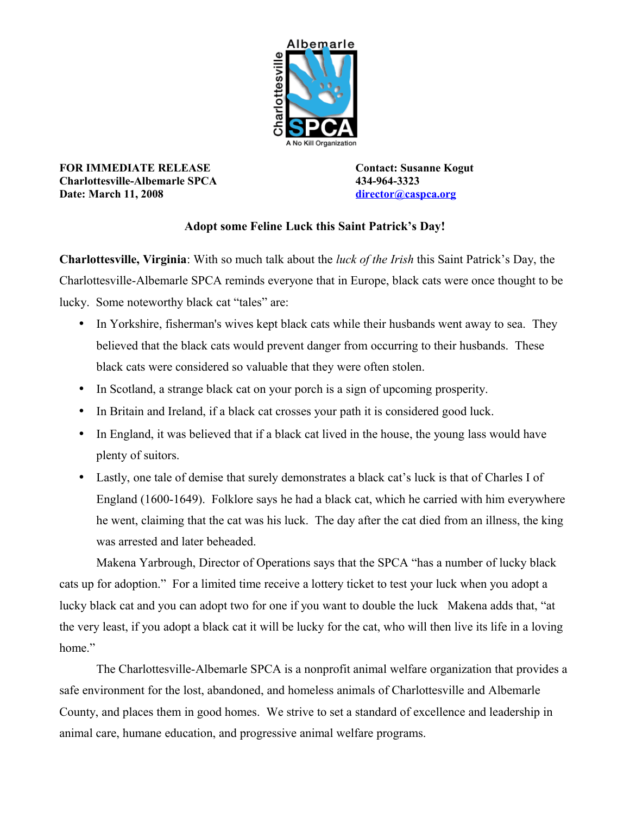

**FOR IMMEDIATE RELEASE Contact: Susanne Kogut Charlottesville-Albemarle SPCA 434-964-3323 Date: March 11, 2008 [director@caspca.org](mailto:director@caspca.org)**

## **Adopt some Feline Luck this Saint Patrick's Day!**

**Charlottesville, Virginia**: With so much talk about the *luck of the Irish* this Saint Patrick's Day, the Charlottesville-Albemarle SPCA reminds everyone that in Europe, black cats were once thought to be lucky. Some noteworthy black cat "tales" are:

- In Yorkshire, fisherman's wives kept black cats while their husbands went away to sea. They believed that the black cats would prevent danger from occurring to their husbands. These black cats were considered so valuable that they were often stolen.
- In Scotland, a strange black cat on your porch is a sign of upcoming prosperity.
- In Britain and Ireland, if a black cat crosses your path it is considered good luck.
- In England, it was believed that if a black cat lived in the house, the young lass would have plenty of suitors.
- Lastly, one tale of demise that surely demonstrates a black cat's luck is that of Charles I of England (1600-1649). Folklore says he had a black cat, which he carried with him everywhere he went, claiming that the cat was his luck. The day after the cat died from an illness, the king was arrested and later beheaded.

Makena Yarbrough, Director of Operations says that the SPCA "has a number of lucky black cats up for adoption." For a limited time receive a lottery ticket to test your luck when you adopt a lucky black cat and you can adopt two for one if you want to double the luck Makena adds that, "at the very least, if you adopt a black cat it will be lucky for the cat, who will then live its life in a loving home"

The Charlottesville-Albemarle SPCA is a nonprofit animal welfare organization that provides a safe environment for the lost, abandoned, and homeless animals of Charlottesville and Albemarle County, and places them in good homes. We strive to set a standard of excellence and leadership in animal care, humane education, and progressive animal welfare programs.